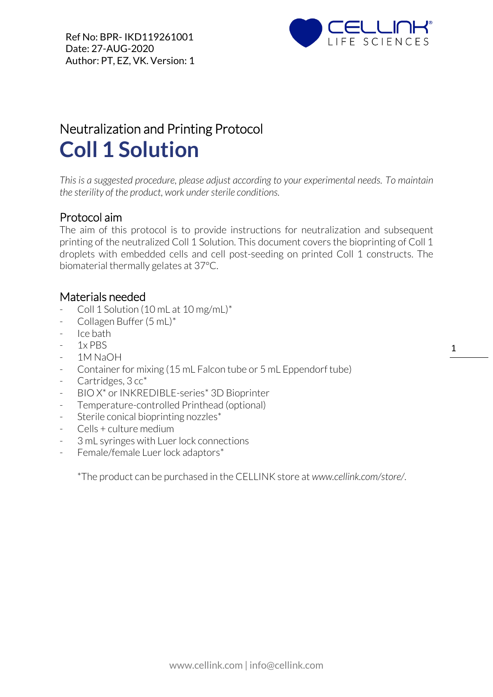

# Neutralization and Printing Protocol **Coll 1 Solution**

*This is a suggested procedure, please adjust according to your experimental needs. To maintain the sterility of the product, work under sterile conditions.*

## Protocol aim

The aim of this protocol is to provide instructions for neutralization and subsequent printing of the neutralized Coll 1 Solution. This document covers the bioprinting of Coll 1 droplets with embedded cells and cell post-seeding on printed Coll 1 constructs. The biomaterial thermally gelates at 37°C.

#### Materials needed

- Coll 1 Solution (10 mL at 10 mg/mL)\*
- Collagen Buffer (5 mL)\*
- Ice bath
- 1x PBS
- 1M NaOH
- Container for mixing (15 mL Falcon tube or 5 mL Eppendorf tube)
- Cartridges, 3 cc<sup>\*</sup>
- BIO X\* or INKREDIBLE-series\* 3D Bioprinter
- Temperature-controlled Printhead (optional)
- Sterile conical bioprinting nozzles<sup>\*</sup>
- Cells + culture medium
- 3 mL syringes with Luer lock connections
- Female/female Luer lock adaptors\*

\*The product can be purchased in the CELLINK store at *www.cellink.com/store/*.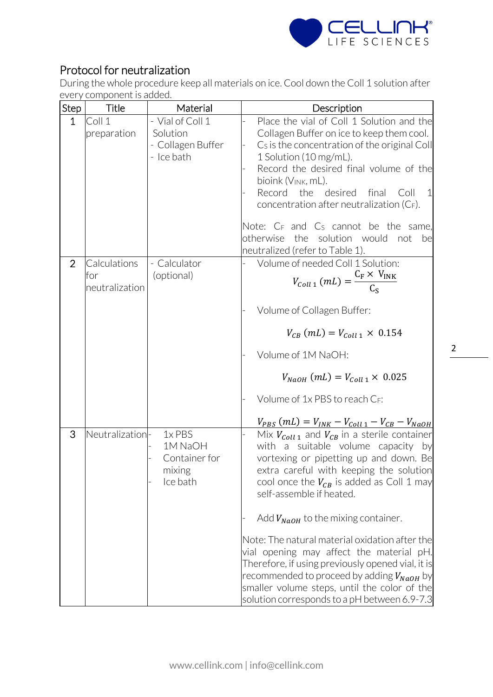

# Protocol for neutralization

During the whole procedure keep all materials on ice. Cool down the Coll 1 solution after every component is added.

| Step           | <b>Title</b>                          | Material                                                        | Description                                                                                                                                                                                                                                                                                                                                                                                                                                                                                                                                                                                                  |
|----------------|---------------------------------------|-----------------------------------------------------------------|--------------------------------------------------------------------------------------------------------------------------------------------------------------------------------------------------------------------------------------------------------------------------------------------------------------------------------------------------------------------------------------------------------------------------------------------------------------------------------------------------------------------------------------------------------------------------------------------------------------|
| $\mathbf{1}$   | Coll 1<br>preparation                 | - Vial of Coll 1<br>Solution<br>- Collagen Buffer<br>- Ice bath | Place the vial of Coll 1 Solution and the<br>Collagen Buffer on ice to keep them cool.<br>Cs is the concentration of the original Coll<br>1 Solution (10 mg/mL).<br>Record the desired final volume of the<br>bioink (V <sub>INK</sub> , mL).<br>the<br>desired<br>Record<br>final<br>Coll<br>1<br>concentration after neutralization $(C_F)$ .<br>Note: C <sub>F</sub> and C <sub>S</sub> cannot be the same,<br>otherwise<br>the<br>solution would<br>not<br>be<br>neutralized (refer to Table 1).                                                                                                         |
| $\overline{2}$ | Calculations<br>for<br>neutralization | - Calculator<br>(optional)                                      | Volume of needed Coll 1 Solution:<br>$V_{\text{coll 1}}\left(mL\right) = \frac{C_{\text{F}} \times V_{\text{INK}}}{C_{\text{S}}}$<br>Volume of Collagen Buffer:<br>$V_{CB}$ (mL) = $V_{Coll1} \times 0.154$<br>Volume of 1M NaOH:<br>$V_{NaOH} (mL) = V_{Coll1} \times 0.025$<br>Volume of 1x PBS to reach CF:<br>$V_{PBS} (mL) = V_{INK} - V_{Coll 1} - V_{CB} - V_{NaOH}$                                                                                                                                                                                                                                  |
| 3              | Neutralization-                       | 1x PBS<br>1M NaOH<br>Container for<br>mixing<br>Ice bath        | Mix $V_{coll,1}$ and $V_{CB}$ in a sterile container<br>with a suitable volume capacity by<br>vortexing or pipetting up and down. Be<br>extra careful with keeping the solution<br>cool once the $V_{CB}$ is added as Coll 1 may<br>self-assemble if heated.<br>Add $V_{NaOH}$ to the mixing container.<br>Note: The natural material oxidation after the<br>vial opening may affect the material pH.<br>Therefore, if using previously opened vial, it is<br>recommended to proceed by adding $V_{NaOH}$ by<br>smaller volume steps, until the color of the<br>solution corresponds to a pH between 6.9-7.3 |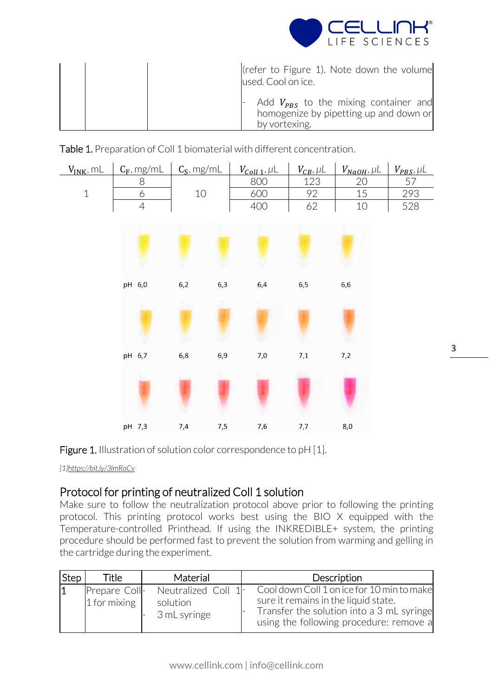

|  | (refer to Figure 1). Note down the volume<br>used. Cool on ice.                                      |
|--|------------------------------------------------------------------------------------------------------|
|  | Add $V_{PBS}$ to the mixing container and<br>homogenize by pipetting up and down or<br>by vortexing. |

| Table 1. Preparation of Coll 1 biomaterial with different concentration. |  |  |
|--------------------------------------------------------------------------|--|--|
|                                                                          |  |  |



Figure 1. Illustration of solution color correspondence to pH [1].

*[1[\]https://bit.ly/3lmRoCv](https://bit.ly/3lmRoCv)*

## Protocol for printing of neutralized Coll 1 solution

Make sure to follow the neutralization protocol above prior to following the printing protocol. This printing protocol works best using the BIO X equipped with the Temperature-controlled Printhead. If using the INKREDIBLE+ system, the printing procedure should be performed fast to prevent the solution from warming and gelling in the cartridge during the experiment.

| Step | Title                                     | Material                                        | Description                                                                                                                                                                |
|------|-------------------------------------------|-------------------------------------------------|----------------------------------------------------------------------------------------------------------------------------------------------------------------------------|
|      | Prepare Coll-<br>1 for mixing $\parallel$ | Neutralized Coll 1-<br>solution<br>3 mL syringe | Cool down Coll 1 on ice for 10 min to make<br>sure it remains in the liquid state.<br>Transfer the solution into a 3 mL syringe<br>using the following procedure: remove a |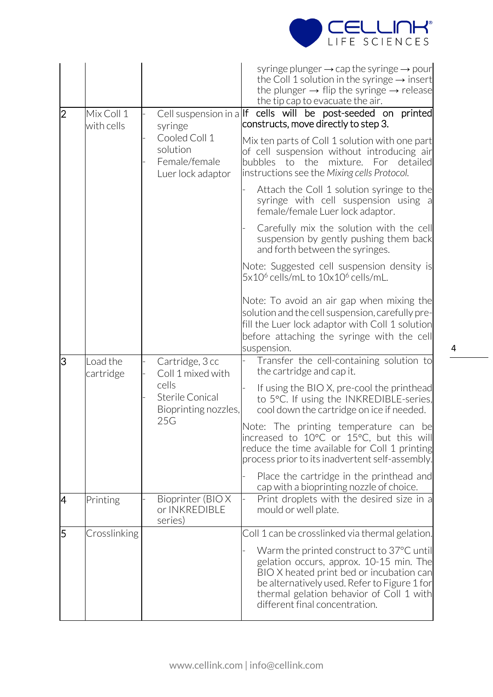

| $\overline{2}$ | Mix Coll 1<br>with cells | Cell suspension in a<br>syringe                                 | syringe plunger $\rightarrow$ cap the syringe $\rightarrow$ pour<br>the Coll 1 solution in the syringe $\rightarrow$ insert<br>the plunger $\rightarrow$ flip the syringe $\rightarrow$ release<br>the tip cap to evacuate the air.<br>If cells will be post-seeded on<br>printed<br>constructs, move directly to step 3. |
|----------------|--------------------------|-----------------------------------------------------------------|---------------------------------------------------------------------------------------------------------------------------------------------------------------------------------------------------------------------------------------------------------------------------------------------------------------------------|
|                |                          | Cooled Coll 1<br>solution<br>Female/female<br>Luer lock adaptor | Mix ten parts of Coll 1 solution with one part<br>of cell suspension without introducing air<br>bubbles to the mixture. For detailed<br>instructions see the Mixing cells Protocol.                                                                                                                                       |
|                |                          |                                                                 | Attach the Coll 1 solution syringe to the<br>syringe with cell suspension using a<br>female/female Luer lock adaptor.                                                                                                                                                                                                     |
|                |                          |                                                                 | Carefully mix the solution with the cell<br>suspension by gently pushing them back<br>and forth between the syringes.                                                                                                                                                                                                     |
|                |                          |                                                                 | Note: Suggested cell suspension density is<br>5x10 <sup>6</sup> cells/mL to 10x10 <sup>6</sup> cells/mL.                                                                                                                                                                                                                  |
|                |                          |                                                                 | Note: To avoid an air gap when mixing the<br>solution and the cell suspension, carefully pre-<br>fill the Luer lock adaptor with Coll 1 solution<br>before attaching the syringe with the cell<br>suspension.                                                                                                             |
| 3              | Load the<br>cartridge    | Cartridge, 3 cc<br>Coll 1 mixed with                            | Transfer the cell-containing solution to<br>the cartridge and cap it.                                                                                                                                                                                                                                                     |
|                |                          | cells<br><b>Sterile Conical</b><br>Bioprinting nozzles,         | If using the BIO X, pre-cool the printhead<br>to 5°C. If using the INKREDIBLE-series,<br>cool down the cartridge on ice if needed.                                                                                                                                                                                        |
|                |                          | 25G                                                             | Note: The printing temperature can be<br>increased to 10°C or 15°C, but this will<br>reduce the time available for Coll 1 printing<br>process prior to its inadvertent self-assembly.                                                                                                                                     |
|                |                          |                                                                 | Place the cartridge in the printhead and<br>cap with a bioprinting nozzle of choice.                                                                                                                                                                                                                                      |
| 4              | Printing                 | Bioprinter (BIOX<br>or INKREDIBLE<br>series)                    | Print droplets with the desired size in a<br>mould or well plate.                                                                                                                                                                                                                                                         |
| 5              | Crosslinking             |                                                                 | Coll 1 can be crosslinked via thermal gelation.                                                                                                                                                                                                                                                                           |
|                |                          |                                                                 | Warm the printed construct to 37°C until<br>gelation occurs, approx. 10-15 min. The<br>BIO X heated print bed or incubation can<br>be alternatively used. Refer to Figure 1 for<br>thermal gelation behavior of Coll 1 with<br>different final concentration.                                                             |